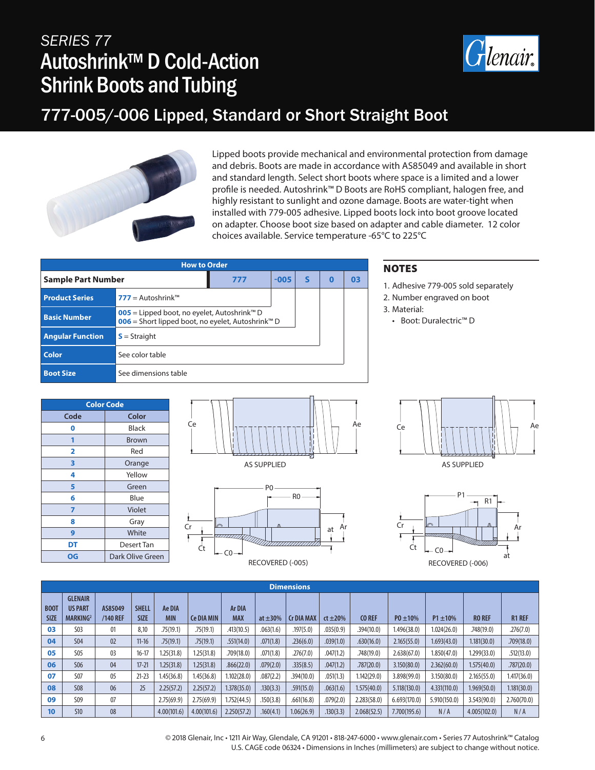# *SERIES 77* Autoshrink™ D Cold-Action Shrink Boots and Tubing



### 777-005/-006 Lipped, Standard or Short Straight Boot



Lipped boots provide mechanical and environmental protection from damage and debris. Boots are made in accordance with AS85049 and available in short and standard length. Select short boots where space is a limited and a lower profile is needed. Autoshrink™ D Boots are RoHS compliant, halogen free, and highly resistant to sunlight and ozone damage. Boots are water-tight when installed with 779-005 adhesive. Lipped boots lock into boot groove located on adapter. Choose boot size based on adapter and cable diameter. 12 color choices available. Service temperature -65°C to 225°C

| <b>How to Order</b>       |                                                                                                                                 |     |        |   |          |    |  |  |  |
|---------------------------|---------------------------------------------------------------------------------------------------------------------------------|-----|--------|---|----------|----|--|--|--|
| <b>Sample Part Number</b> |                                                                                                                                 | 777 | $-005$ | S | $\Omega$ | 03 |  |  |  |
| <b>Product Series</b>     | <b>777</b> = Autoshrink™                                                                                                        |     |        |   |          |    |  |  |  |
| <b>Basic Number</b>       | <b>005</b> = Lipped boot, no eyelet, Autoshrink <sup>™</sup> D<br>006 = Short lipped boot, no eyelet, Autoshrink <sup>™</sup> D |     |        |   |          |    |  |  |  |
| <b>Angular Function</b>   | $S =$ Straight                                                                                                                  |     |        |   |          |    |  |  |  |
| Color                     | See color table                                                                                                                 |     |        |   |          |    |  |  |  |
| <b>Boot Size</b>          | See dimensions table                                                                                                            |     |        |   |          |    |  |  |  |

- e 779-005 sold separately
- r engraved on boot

Duralectric™ D

| <b>Color Code</b> |                  |  |  |  |  |  |  |  |
|-------------------|------------------|--|--|--|--|--|--|--|
| Code              | Color            |  |  |  |  |  |  |  |
| 0                 | Black            |  |  |  |  |  |  |  |
|                   | <b>Brown</b>     |  |  |  |  |  |  |  |
| 2                 | Red              |  |  |  |  |  |  |  |
| 3                 | Orange           |  |  |  |  |  |  |  |
| 4                 | Yellow           |  |  |  |  |  |  |  |
| 5                 | Green            |  |  |  |  |  |  |  |
| 6                 | Blue             |  |  |  |  |  |  |  |
| 7                 | Violet           |  |  |  |  |  |  |  |
| 8                 | Gray             |  |  |  |  |  |  |  |
| 9                 | White            |  |  |  |  |  |  |  |
| DT                | Desert Tan       |  |  |  |  |  |  |  |
| OG                | Dark Olive Green |  |  |  |  |  |  |  |







AS SUPPLIED



|                            | <b>Dimensions</b>                                        |                     |                             |                      |                   |                             |               |                   |               |               |               |               |               |               |
|----------------------------|----------------------------------------------------------|---------------------|-----------------------------|----------------------|-------------------|-----------------------------|---------------|-------------------|---------------|---------------|---------------|---------------|---------------|---------------|
| <b>BOOT</b><br><b>SIZE</b> | <b>GLENAIR</b><br><b>US PART</b><br>MARKING <sup>2</sup> | AS85049<br>/140 REF | <b>SHELL</b><br><b>SIZE</b> | Ae DIA<br><b>MIN</b> | <b>Ce DIA MIN</b> | <b>Ar DIA</b><br><b>MAX</b> | at $\pm 30\%$ | <b>Cr DIA MAX</b> | $ct \pm 20\%$ | <b>CO REF</b> | $P0 \pm 10\%$ | $P1 \pm 10\%$ | <b>RO REF</b> | <b>R1 REF</b> |
| 03                         | <b>S03</b>                                               | 01                  | 8,10                        | .75(19.1)            | .75(19.1)         | .413(10.5)                  | .063(1.6)     | .197(5.0)         | .035(0.9)     | .394(10.0)    | 1.496(38.0)   | 1.024(26.0)   | .748(19.0)    | .276(7.0)     |
| 04                         | <b>S04</b>                                               | 02                  | $11 - 16$                   | .75(19.1)            | .75(19.1)         | .551(14.0)                  | .071(1.8)     | .236(6.0)         | .039(1.0)     | .630(16.0)    | 2.165(55.0)   | 1.693(43.0)   | 1.181(30.0)   | .709(18.0)    |
| 05                         | <b>S05</b>                                               | 03                  | $16-17$                     | 1.25(31.8)           | 1.25(31.8)        | .709(18.0)                  | .071(1.8)     | .276(7.0)         | .047(1.2)     | .748(19.0)    | 2.638(67.0)   | 1.850(47.0)   | 1.299(33.0)   | .512(13.0)    |
| 06                         | <b>S06</b>                                               | 04                  | $17 - 21$                   | 1.25(31.8)           | 1.25(31.8)        | .866(22.0)                  | .079(2.0)     | .335(8.5)         | .047(1.2)     | .787(20.0)    | 3.150(80.0)   | 2.362(60.0)   | 1.575(40.0)   | .787(20.0)    |
| 07                         | <b>S07</b>                                               | 05                  | $21 - 23$                   | 1.45(36.8)           | 1.45(36.8)        | 1.102(28.0)                 | .087(2.2)     | .394(10.0)        | .051(1.3)     | 1.142(29.0)   | 3.898(99.0)   | 3.150(80.0)   | 2.165(55.0)   | 1.417(36.0)   |
| 08                         | <b>S08</b>                                               | 06                  | 25                          | 2.25(57.2)           | 2.25(57.2)        | 1.378(35.0)                 | .130(3.3)     | .591(15.0)        | .063(1.6)     | 1.575(40.0)   | 5.118(130.0)  | 4.331(110.0)  | 1.969(50.0)   | 1.181(30.0)   |
| 09                         | S <sub>09</sub>                                          | 07                  |                             | 2.75(69.9)           | 2.75(69.9)        | 1.752(44.5)                 | .150(3.8)     | .661(16.8)        | .079(2.0)     | 2.283(58.0)   | 6.693(170.0)  | 5.910(150.0)  | 3.543(90.0)   | 2.760(70.0)   |
| 10                         | <b>S10</b>                                               | 08                  |                             | 4.00(101.6)          | 4.00(101.6)       | 2.250(57.2)                 | .160(4.1)     | 1.06(26.9)        | .130(3.3)     | 2.068(52.5)   | 7.700(195.6)  | N/A           | 4.005(102.0)  | N/A           |

6 © 2018 Glenair, Inc • 1211 Air Way, Glendale, CA 91201 • 818-247-6000 • www.glenair.com • Series 77 Autoshrink™ Catalog U.S. CAGE code 06324 • Dimensions in Inches (millimeters) are subject to change without notice.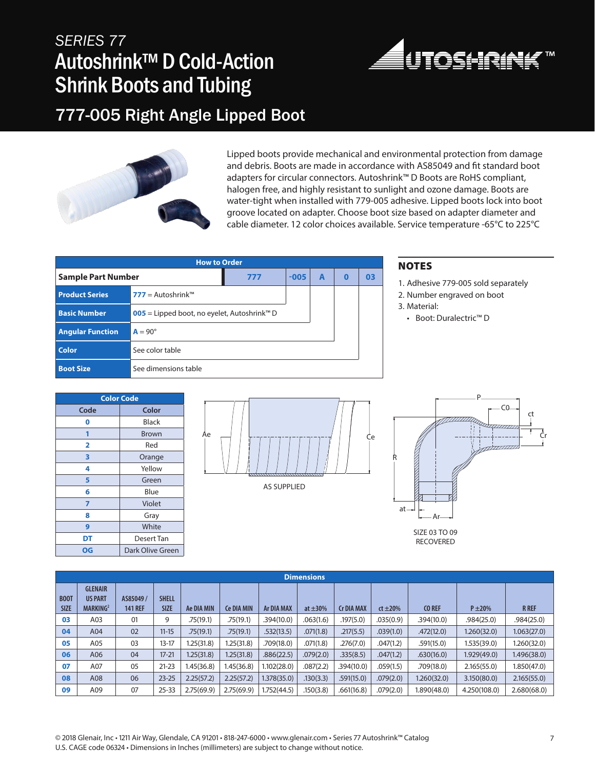# *SERIES 77* Autoshrink™ D Cold-Action Shrink Boots and Tubing



### 777-005 Right Angle Lipped Boot



Lipped boots provide mechanical and environmental protection from damage and debris. Boots are made in accordance with AS85049 and fit standard boot adapters for circular connectors. Autoshrink™ D Boots are RoHS compliant, halogen free, and highly resistant to sunlight and ozone damage. Boots are water-tight when installed with 779-005 adhesive. Lipped boots lock into boot groove located on adapter. Choose boot size based on adapter diameter and cable diameter. 12 color choices available. Service temperature -65°C to 225°C

| <b>How to Order</b>       |                                                                |        |   |          |    |  |  |  |  |  |
|---------------------------|----------------------------------------------------------------|--------|---|----------|----|--|--|--|--|--|
| <b>Sample Part Number</b> | 777                                                            | $-005$ | A | $\bf{0}$ | 03 |  |  |  |  |  |
| <b>Product Series</b>     | $777 =$ Autoshrink <sup>TM</sup>                               |        |   |          |    |  |  |  |  |  |
| <b>Basic Number</b>       | <b>005</b> = Lipped boot, no eyelet, Autoshrink <sup>™</sup> D |        |   |          |    |  |  |  |  |  |
| <b>Angular Function</b>   | $A = 90^\circ$                                                 |        |   |          |    |  |  |  |  |  |
| <b>Color</b>              | See color table                                                |        |   |          |    |  |  |  |  |  |
| <b>Boot Size</b>          | See dimensions table                                           |        |   |          |    |  |  |  |  |  |

#### NOTES

- 1. Adhesive 779-005 sold separately
- 2. Number engraved on boot
- 3. Material:
- Boot: Duralectric™ D

| <b>Color Code</b> |                  |  |  |  |  |  |  |
|-------------------|------------------|--|--|--|--|--|--|
| Code              | Color            |  |  |  |  |  |  |
| 0                 | Black            |  |  |  |  |  |  |
|                   | Brown            |  |  |  |  |  |  |
| 2                 | Red              |  |  |  |  |  |  |
| 3                 | Orange           |  |  |  |  |  |  |
| 4                 | Yellow           |  |  |  |  |  |  |
| 5                 | Green            |  |  |  |  |  |  |
| 6                 | Blue             |  |  |  |  |  |  |
| 7                 | Violet           |  |  |  |  |  |  |
| 8                 | Gray             |  |  |  |  |  |  |
| 9                 | White            |  |  |  |  |  |  |
| DT                | Desert Tan       |  |  |  |  |  |  |
| OG                | Dark Olive Green |  |  |  |  |  |  |





RECOVERED

|                            | <b>Dimensions</b>                                        |                            |                             |            |                   |                   |               |                   |              |               |              |              |  |
|----------------------------|----------------------------------------------------------|----------------------------|-----------------------------|------------|-------------------|-------------------|---------------|-------------------|--------------|---------------|--------------|--------------|--|
| <b>B00T</b><br><b>SIZE</b> | <b>GLENAIR</b><br><b>US PART</b><br>MARKING <sup>2</sup> | AS85049/<br><b>141 REF</b> | <b>SHELL</b><br><b>SIZE</b> | Ae DIA MIN | <b>Ce DIA MIN</b> | <b>Ar DIA MAX</b> | at $\pm 30\%$ | <b>Cr DIA MAX</b> | $ct \pm 20%$ | <b>CO REF</b> | $P \pm 20%$  | <b>R</b> REF |  |
| 03                         | A03                                                      | 01                         | 9                           | .75(19.1)  | .75(19.1)         | .394(10.0)        | .063(1.6)     | .197(5.0)         | .035(0.9)    | .394(10.0)    | .984(25.0)   | .984(25.0)   |  |
| 04                         | A04                                                      | 02                         | $11 - 15$                   | .75(19.1)  | .75(19.1)         | .532(13.5)        | .071(1.8)     | .217(5.5)         | .039(1.0)    | .472(12.0)    | 1.260(32.0)  | 1.063(27.0)  |  |
| 05                         | A05                                                      | 03                         | $13-17$                     | 1.25(31.8) | 1.25(31.8)        | .709(18.0)        | .071(1.8)     | .276(7.0)         | .047(1.2)    | .591(15.0)    | 1.535(39.0)  | 1.260(32.0)  |  |
| 06                         | A06                                                      | 04                         | $17 - 21$                   | 1.25(31.8) | 1.25(31.8)        | .886(22.5)        | .079(2.0)     | .335(8.5)         | .047(1.2)    | .630(16.0)    | 1.929(49.0)  | 1.496(38.0)  |  |
| 07                         | A07                                                      | 05                         | $21 - 23$                   | 1.45(36.8) | 1.45(36.8)        | 1.102(28.0)       | .087(2.2)     | .394(10.0)        | .059(1.5)    | .709(18.0)    | 2.165(55.0)  | 1.850(47.0)  |  |
| 08                         | A08                                                      | 06                         | $23 - 25$                   | 2.25(57.2) | 2.25(57.2)        | 1.378(35.0)       | .130(3.3)     | .591(15.0)        | .079(2.0)    | 1.260(32.0)   | 3.150(80.0)  | 2.165(55.0)  |  |
| 09                         | A09                                                      | 07                         | $25 - 33$                   | 2.75(69.9) | 2.75(69.9)        | 1.752(44.5)       | .150(3.8)     | .661(16.8)        | .079(2.0)    | 1.890(48.0)   | 4.250(108.0) | 2.680(68.0)  |  |

© 2018 Glenair, Inc • 1211 Air Way, Glendale, CA 91201 • 818-247-6000 • www.glenair.com • Series 77 Autoshrink™ Catalog 7 U.S. CAGE code 06324 • Dimensions in Inches (millimeters) are subject to change without notice.